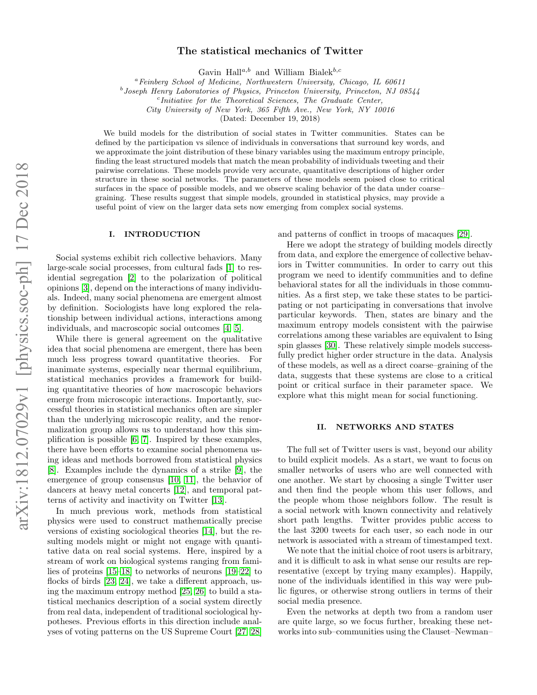# The statistical mechanics of Twitter

Gavin Hall<sup>a,b</sup> and William Bialek<sup>b,c</sup>

<sup>a</sup>Feinberg School of Medicine, Northwestern University, Chicago, IL 60611

<sup>b</sup> Joseph Henry Laboratories of Physics, Princeton University, Princeton, NJ 08544

c Initiative for the Theoretical Sciences, The Graduate Center,

City University of New York, 365 Fifth Ave., New York, NY 10016

(Dated: December 19, 2018)

We build models for the distribution of social states in Twitter communities. States can be defined by the participation vs silence of individuals in conversations that surround key words, and we approximate the joint distribution of these binary variables using the maximum entropy principle, finding the least structured models that match the mean probability of individuals tweeting and their pairwise correlations. These models provide very accurate, quantitative descriptions of higher order structure in these social networks. The parameters of these models seem poised close to critical surfaces in the space of possible models, and we observe scaling behavior of the data under coarse– graining. These results suggest that simple models, grounded in statistical physics, may provide a useful point of view on the larger data sets now emerging from complex social systems.

## I. INTRODUCTION

Social systems exhibit rich collective behaviors. Many large-scale social processes, from cultural fads [\[1\]](#page-11-0) to residential segregation [\[2\]](#page-11-1) to the polarization of political opinions [\[3\]](#page-11-2), depend on the interactions of many individuals. Indeed, many social phenomena are emergent almost by definition. Sociologists have long explored the relationship between individual actions, interactions among individuals, and macroscopic social outcomes [\[4,](#page-11-3) [5\]](#page-11-4).

While there is general agreement on the qualitative idea that social phenomena are emergent, there has been much less progress toward quantitative theories. For inanimate systems, especially near thermal equilibrium, statistical mechanics provides a framework for building quantitative theories of how macroscopic behaviors emerge from microscopic interactions. Importantly, successful theories in statistical mechanics often are simpler than the underlying microscopic reality, and the renormalization group allows us to understand how this simplification is possible [\[6,](#page-11-5) [7\]](#page-11-6). Inspired by these examples, there have been efforts to examine social phenomena using ideas and methods borrowed from statistical physics [\[8\]](#page-11-7). Examples include the dynamics of a strike [\[9\]](#page-11-8), the emergence of group consensus [\[10,](#page-11-9) [11\]](#page-11-10), the behavior of dancers at heavy metal concerts [\[12\]](#page-11-11), and temporal patterns of activity and inactivity on Twitter [\[13\]](#page-11-12).

In much previous work, methods from statistical physics were used to construct mathematically precise versions of existing sociological theories [\[14\]](#page-11-13), but the resulting models might or might not engage with quantitative data on real social systems. Here, inspired by a stream of work on biological systems ranging from families of proteins [\[15](#page-11-14)[–18\]](#page-11-15) to networks of neurons [\[19](#page-11-16)[–22\]](#page-11-17) to flocks of birds [\[23,](#page-11-18) [24\]](#page-11-19), we take a different approach, using the maximum entropy method [\[25,](#page-11-20) [26\]](#page-11-21) to build a statistical mechanics description of a social system directly from real data, independent of traditional sociological hypotheses. Previous efforts in this direction include analyses of voting patterns on the US Supreme Court [\[27,](#page-11-22) [28\]](#page-11-23) and patterns of conflict in troops of macaques [\[29\]](#page-11-24).

Here we adopt the strategy of building models directly from data, and explore the emergence of collective behaviors in Twitter communities. In order to carry out this program we need to identify communities and to define behavioral states for all the individuals in those communities. As a first step, we take these states to be participating or not participating in conversations that involve particular keywords. Then, states are binary and the maximum entropy models consistent with the pairwise correlations among these variables are equivalent to Ising spin glasses [\[30\]](#page-11-25). These relatively simple models successfully predict higher order structure in the data. Analysis of these models, as well as a direct coarse–graining of the data, suggests that these systems are close to a critical point or critical surface in their parameter space. We explore what this might mean for social functioning.

### II. NETWORKS AND STATES

The full set of Twitter users is vast, beyond our ability to build explicit models. As a start, we want to focus on smaller networks of users who are well connected with one another. We start by choosing a single Twitter user and then find the people whom this user follows, and the people whom those neighbors follow. The result is a social network with known connectivity and relatively short path lengths. Twitter provides public access to the last 3200 tweets for each user, so each node in our network is associated with a stream of timestamped text.

We note that the initial choice of root users is arbitrary, and it is difficult to ask in what sense our results are representative (except by trying many examples). Happily, none of the individuals identified in this way were public figures, or otherwise strong outliers in terms of their social media presence.

Even the networks at depth two from a random user are quite large, so we focus further, breaking these networks into sub–communities using the Clauset–Newman–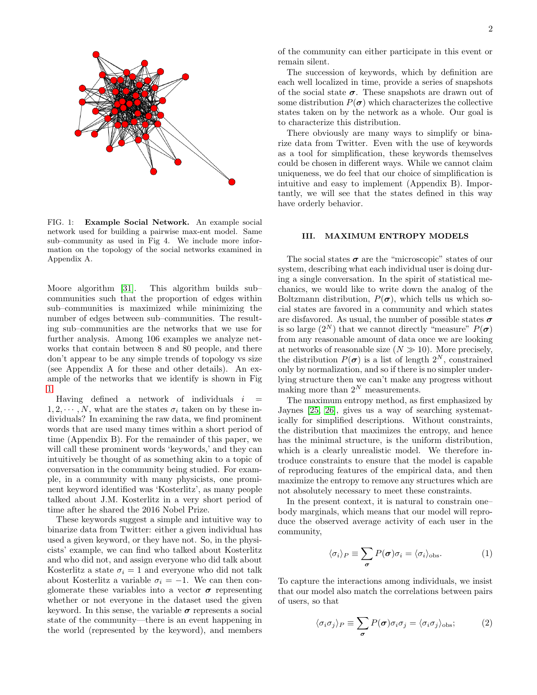

<span id="page-1-0"></span>FIG. 1: Example Social Network. An example social network used for building a pairwise max-ent model. Same sub–community as used in Fig 4. We include more information on the topology of the social networks examined in Appendix A.

Moore algorithm [\[31\]](#page-11-26). This algorithm builds subcommunities such that the proportion of edges within sub–communities is maximized while minimizing the number of edges between sub–communities. The resulting sub–communities are the networks that we use for further analysis. Among 106 examples we analyze networks that contain between 8 and 80 people, and there don't appear to be any simple trends of topology vs size (see Appendix A for these and other details). An example of the networks that we identify is shown in Fig [1.](#page-1-0)

Having defined a network of individuals  $i =$  $1, 2, \dots, N$ , what are the states  $\sigma_i$  taken on by these individuals? In examining the raw data, we find prominent words that are used many times within a short period of time (Appendix B). For the remainder of this paper, we will call these prominent words 'keywords,' and they can intuitively be thought of as something akin to a topic of conversation in the community being studied. For example, in a community with many physicists, one prominent keyword identified was 'Kosterlitz', as many people talked about J.M. Kosterlitz in a very short period of time after he shared the 2016 Nobel Prize.

These keywords suggest a simple and intuitive way to binarize data from Twitter: either a given individual has used a given keyword, or they have not. So, in the physicists' example, we can find who talked about Kosterlitz and who did not, and assign everyone who did talk about Kosterlitz a state  $\sigma_i = 1$  and everyone who did not talk about Kosterlitz a variable  $\sigma_i = -1$ . We can then conglomerate these variables into a vector  $\sigma$  representing whether or not everyone in the dataset used the given keyword. In this sense, the variable  $\sigma$  represents a social state of the community—there is an event happening in the world (represented by the keyword), and members

of the community can either participate in this event or remain silent.

The succession of keywords, which by definition are each well localized in time, provide a series of snapshots of the social state  $\sigma$ . These snapshots are drawn out of some distribution  $P(\sigma)$  which characterizes the collective states taken on by the network as a whole. Our goal is to characterize this distribution.

There obviously are many ways to simplify or binarize data from Twitter. Even with the use of keywords as a tool for simplification, these keywords themselves could be chosen in different ways. While we cannot claim uniqueness, we do feel that our choice of simplification is intuitive and easy to implement (Appendix B). Importantly, we will see that the states defined in this way have orderly behavior.

#### III. MAXIMUM ENTROPY MODELS

The social states  $\sigma$  are the "microscopic" states of our system, describing what each individual user is doing during a single conversation. In the spirit of statistical mechanics, we would like to write down the analog of the Boltzmann distribution,  $P(\sigma)$ , which tells us which social states are favored in a community and which states are disfavored. As usual, the number of possible states  $\sigma$ is so large  $(2^N)$  that we cannot directly "measure"  $P(\sigma)$ from any reasonable amount of data once we are looking at networks of reasonable size  $(N \gg 10)$ . More precisely, the distribution  $P(\sigma)$  is a list of length  $2^N$ , constrained only by normalization, and so if there is no simpler underlying structure then we can't make any progress without making more than  $2^N$  measurements.

The maximum entropy method, as first emphasized by Jaynes [\[25,](#page-11-20) [26\]](#page-11-21), gives us a way of searching systematically for simplified descriptions. Without constraints, the distribution that maximizes the entropy, and hence has the minimal structure, is the uniform distribution, which is a clearly unrealistic model. We therefore introduce constraints to ensure that the model is capable of reproducing features of the empirical data, and then maximize the entropy to remove any structures which are not absolutely necessary to meet these constraints.

In the present context, it is natural to constrain one– body marginals, which means that our model will reproduce the observed average activity of each user in the community,

<span id="page-1-1"></span>
$$
\langle \sigma_i \rangle_P \equiv \sum_{\sigma} P(\sigma) \sigma_i = \langle \sigma_i \rangle_{\text{obs}}.
$$
 (1)

To capture the interactions among individuals, we insist that our model also match the correlations between pairs of users, so that

<span id="page-1-2"></span>
$$
\langle \sigma_i \sigma_j \rangle_P \equiv \sum_{\sigma} P(\sigma) \sigma_i \sigma_j = \langle \sigma_i \sigma_j \rangle_{\text{obs}}; \tag{2}
$$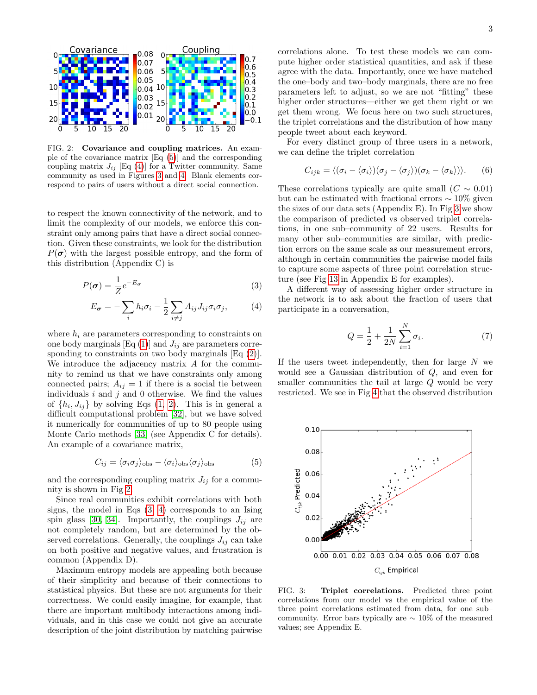

<span id="page-2-3"></span>FIG. 2: Covariance and coupling matrices. An example of the covariance matrix [Eq [\(5\)](#page-2-0)] and the corresponding coupling matrix  $J_{ij}$  [Eq [\(4\)](#page-2-1)] for a Twitter community. Same community as used in Figures [3](#page-2-2) and [4.](#page-3-0) Blank elements correspond to pairs of users without a direct social connection.

to respect the known connectivity of the network, and to limit the complexity of our models, we enforce this constraint only among pairs that have a direct social connection. Given these constraints, we look for the distribution  $P(\sigma)$  with the largest possible entropy, and the form of this distribution (Appendix C) is

$$
P(\sigma) = \frac{1}{Z} e^{-E_{\sigma}}
$$
 (3)

$$
E_{\sigma} = -\sum_{i} h_i \sigma_i - \frac{1}{2} \sum_{i \neq j} A_{ij} J_{ij} \sigma_i \sigma_j, \qquad (4)
$$

where  $h_i$  are parameters corresponding to constraints on one body marginals  $[Eq (1)]$  $[Eq (1)]$  $[Eq (1)]$  and  $J_{ij}$  are parameters corre-sponding to constraints on two body marginals [Eq [\(2\)](#page-1-2)]. We introduce the adjacency matrix A for the community to remind us that we have constraints only among connected pairs;  $A_{ij} = 1$  if there is a social tie between individuals  $i$  and  $j$  and  $0$  otherwise. We find the values of  $\{h_i, J_{ij}\}\$ by solving Eqs  $(1, 2)$  $(1, 2)$ . This is in general a difficult computational problem [\[32\]](#page-11-27), but we have solved it numerically for communities of up to 80 people using Monte Carlo methods [\[33\]](#page-11-28) (see Appendix C for details). An example of a covariance matrix,

<span id="page-2-0"></span>
$$
C_{ij} = \langle \sigma_i \sigma_j \rangle_{\text{obs}} - \langle \sigma_i \rangle_{\text{obs}} \langle \sigma_j \rangle_{\text{obs}}
$$
(5)

and the corresponding coupling matrix  $J_{ij}$  for a community is shown in Fig [2.](#page-2-3)

Since real communities exhibit correlations with both signs, the model in Eqs [\(3,](#page-2-4) [4\)](#page-2-1) corresponds to an Ising spin glass [\[30,](#page-11-25) [34\]](#page-11-29). Importantly, the couplings  $J_{ij}$  are not completely random, but are determined by the observed correlations. Generally, the couplings  $J_{ij}$  can take on both positive and negative values, and frustration is common (Appendix D).

Maximum entropy models are appealing both because of their simplicity and because of their connections to statistical physics. But these are not arguments for their correctness. We could easily imagine, for example, that there are important multibody interactions among individuals, and in this case we could not give an accurate description of the joint distribution by matching pairwise correlations alone. To test these models we can compute higher order statistical quantities, and ask if these agree with the data. Importantly, once we have matched the one–body and two–body marginals, there are no free parameters left to adjust, so we are not "fitting" these higher order structures—either we get them right or we get them wrong. We focus here on two such structures, the triplet correlations and the distribution of how many people tweet about each keyword.

For every distinct group of three users in a network, we can define the triplet correlation

$$
C_{ijk} = \langle (\sigma_i - \langle \sigma_i \rangle)(\sigma_j - \langle \sigma_j \rangle)(\sigma_k - \langle \sigma_k \rangle) \rangle. \qquad (6)
$$

These correlations typically are quite small  $(C \sim 0.01)$ but can be estimated with fractional errors  $\sim 10\%$  given the sizes of our data sets (Appendix E). In Fig [3](#page-2-2) we show the comparison of predicted vs observed triplet correlations, in one sub–community of 22 users. Results for many other sub–communities are similar, with prediction errors on the same scale as our measurement errors, although in certain communities the pairwise model fails to capture some aspects of three point correlation structure (see Fig [13](#page-10-0) in Appendix E for examples).

<span id="page-2-4"></span><span id="page-2-1"></span>A different way of assessing higher order structure in the network is to ask about the fraction of users that participate in a conversation,

<span id="page-2-5"></span>
$$
Q = \frac{1}{2} + \frac{1}{2N} \sum_{i=1}^{N} \sigma_i.
$$
 (7)

If the users tweet independently, then for large  $N$  we would see a Gaussian distribution of Q, and even for smaller communities the tail at large Q would be very restricted. We see in Fig [4](#page-3-0) that the observed distribution



<span id="page-2-2"></span>FIG. 3: Triplet correlations. Predicted three point correlations from our model vs the empirical value of the three point correlations estimated from data, for one sub– community. Error bars typically are  $\sim 10\%$  of the measured values; see Appendix E.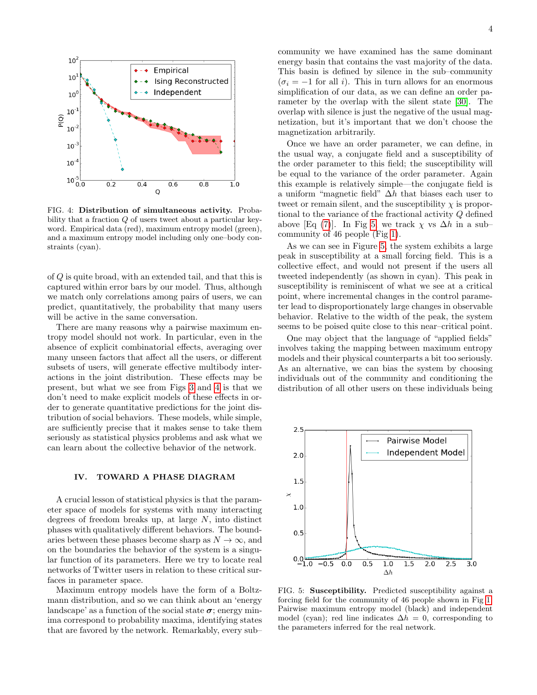

<span id="page-3-0"></span>FIG. 4: Distribution of simultaneous activity. Probability that a fraction Q of users tweet about a particular keyword. Empirical data (red), maximum entropy model (green), and a maximum entropy model including only one–body constraints (cyan).

of Q is quite broad, with an extended tail, and that this is captured within error bars by our model. Thus, although we match only correlations among pairs of users, we can predict, quantitatively, the probability that many users will be active in the same conversation.

There are many reasons why a pairwise maximum entropy model should not work. In particular, even in the absence of explicit combinatorial effects, averaging over many unseen factors that affect all the users, or different subsets of users, will generate effective multibody interactions in the joint distribution. These effects may be present, but what we see from Figs [3](#page-2-2) and [4](#page-3-0) is that we don't need to make explicit models of these effects in order to generate quantitative predictions for the joint distribution of social behaviors. These models, while simple, are sufficiently precise that it makes sense to take them seriously as statistical physics problems and ask what we can learn about the collective behavior of the network.

### IV. TOWARD A PHASE DIAGRAM

A crucial lesson of statistical physics is that the parameter space of models for systems with many interacting degrees of freedom breaks up, at large N, into distinct phases with qualitatively different behaviors. The boundaries between these phases become sharp as  $N \to \infty$ , and on the boundaries the behavior of the system is a singular function of its parameters. Here we try to locate real networks of Twitter users in relation to these critical surfaces in parameter space.

Maximum entropy models have the form of a Boltzmann distribution, and so we can think about an 'energy landscape' as a function of the social state  $\sigma$ ; energy minima correspond to probability maxima, identifying states that are favored by the network. Remarkably, every sub–

community we have examined has the same dominant energy basin that contains the vast majority of the data. This basin is defined by silence in the sub–community  $(\sigma_i = -1$  for all i). This in turn allows for an enormous simplification of our data, as we can define an order parameter by the overlap with the silent state [\[30\]](#page-11-25). The overlap with silence is just the negative of the usual magnetization, but it's important that we don't choose the magnetization arbitrarily.

Once we have an order parameter, we can define, in the usual way, a conjugate field and a susceptibility of the order parameter to this field; the susceptibility will be equal to the variance of the order parameter. Again this example is relatively simple—the conjugate field is a uniform "magnetic field"  $\Delta h$  that biases each user to tweet or remain silent, and the susceptibility  $\chi$  is proportional to the variance of the fractional activity Q defined above [Eq [\(7\)](#page-2-5)]. In Fig [5,](#page-3-1) we track  $\chi$  vs  $\Delta h$  in a subcommunity of 46 people (Fig [1\)](#page-1-0).

As we can see in Figure [5,](#page-3-1) the system exhibits a large peak in susceptibility at a small forcing field. This is a collective effect, and would not present if the users all tweeted independently (as shown in cyan). This peak in susceptibility is reminiscent of what we see at a critical point, where incremental changes in the control parameter lead to disproportionately large changes in observable behavior. Relative to the width of the peak, the system seems to be poised quite close to this near–critical point.

One may object that the language of "applied fields" involves taking the mapping between maximum entropy models and their physical counterparts a bit too seriously. As an alternative, we can bias the system by choosing individuals out of the community and conditioning the distribution of all other users on these individuals being



<span id="page-3-1"></span>FIG. 5: Susceptibility. Predicted susceptibility against a forcing field for the community of 46 people shown in Fig [1.](#page-1-0) Pairwise maximum entropy model (black) and independent model (cyan); red line indicates  $\Delta h = 0$ , corresponding to the parameters inferred for the real network.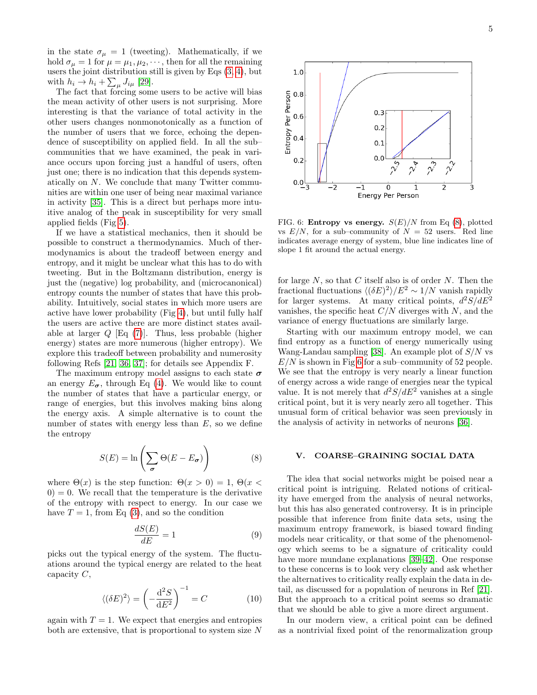in the state  $\sigma_{\mu} = 1$  (tweeting). Mathematically, if we hold  $\sigma_{\mu} = 1$  for  $\mu = \mu_1, \mu_2, \cdots$ , then for all the remaining users the joint distribution still is given by Eqs  $(3, 4)$  $(3, 4)$ , but with  $h_i \to h_i + \sum_{\mu} J_{i\mu}$  [\[29\]](#page-11-24).

The fact that forcing some users to be active will bias the mean activity of other users is not surprising. More interesting is that the variance of total activity in the other users changes nonmonotonically as a function of the number of users that we force, echoing the dependence of susceptibility on applied field. In all the sub– communities that we have examined, the peak in variance occurs upon forcing just a handful of users, often just one; there is no indication that this depends systematically on N. We conclude that many Twitter communities are within one user of being near maximal variance in activity [\[35\]](#page-11-30). This is a direct but perhaps more intuitive analog of the peak in susceptibility for very small applied fields (Fig [5\)](#page-3-1).

If we have a statistical mechanics, then it should be possible to construct a thermodynamics. Much of thermodynamics is about the tradeoff between energy and entropy, and it might be unclear what this has to do with tweeting. But in the Boltzmann distribution, energy is just the (negative) log probability, and (microcanonical) entropy counts the number of states that have this probability. Intuitively, social states in which more users are active have lower probability (Fig [4\)](#page-3-0), but until fully half the users are active there are more distinct states available at larger  $Q$  [Eq [\(7\)](#page-2-5)]. Thus, less probable (higher energy) states are more numerous (higher entropy). We explore this tradeoff between probability and numerosity following Refs [\[21,](#page-11-31) [36,](#page-11-32) [37\]](#page-11-33); for details see Appendix F.

The maximum entropy model assigns to each state  $\sigma$ an energy  $E_{\sigma}$ , through Eq [\(4\)](#page-2-1). We would like to count the number of states that have a particular energy, or range of energies, but this involves making bins along the energy axis. A simple alternative is to count the number of states with energy less than  $E$ , so we define the entropy

<span id="page-4-0"></span>
$$
S(E) = \ln\left(\sum_{\sigma} \Theta(E - E_{\sigma})\right) \tag{8}
$$

where  $\Theta(x)$  is the step function:  $\Theta(x > 0) = 1, \Theta(x <$  $(0) = 0$ . We recall that the temperature is the derivative of the entropy with respect to energy. In our case we have  $T = 1$ , from Eq [\(3\)](#page-2-4), and so the condition

$$
\frac{dS(E)}{dE} = 1\tag{9}
$$

picks out the typical energy of the system. The fluctuations around the typical energy are related to the heat capacity  $C$ ,

$$
\langle (\delta E)^2 \rangle = \left( -\frac{\mathrm{d}^2 S}{\mathrm{d} E^2} \right)^{-1} = C \tag{10}
$$

again with  $T = 1$ . We expect that energies and entropies both are extensive, that is proportional to system size N

for large  $N$ , so that  $C$  itself also is of order  $N$ . Then the fractional fluctuations  $\langle (\delta E)^2 \rangle / E^2 \sim 1/N$  vanish rapidly for larger systems. At many critical points,  $d^2S/dE^2$ vanishes, the specific heat  $C/N$  diverges with N, and the variance of energy fluctuations are similarly large.

<span id="page-4-1"></span>FIG. 6: **Entropy vs energy.**  $S(E)/N$  from Eq [\(8\)](#page-4-0), plotted vs  $E/N$ , for a sub-community of  $N = 52$  users. Red line indicates average energy of system, blue line indicates line of

slope 1 fit around the actual energy.

Starting with our maximum entropy model, we can find entropy as a function of energy numerically using Wang-Landau sampling [\[38\]](#page-11-34). An example plot of  $S/N$  vs  $E/N$  is shown in Fig [6](#page-4-1) for a sub–community of 52 people. We see that the entropy is very nearly a linear function of energy across a wide range of energies near the typical value. It is not merely that  $d^2S/dE^2$  vanishes at a single critical point, but it is very nearly zero all together. This unusual form of critical behavior was seen previously in the analysis of activity in networks of neurons [\[36\]](#page-11-32).

### V. COARSE–GRAINING SOCIAL DATA

The idea that social networks might be poised near a critical point is intriguing. Related notions of criticality have emerged from the analysis of neural networks, but this has also generated controversy. It is in principle possible that inference from finite data sets, using the maximum entropy framework, is biased toward finding models near criticality, or that some of the phenomenology which seems to be a signature of criticality could have more mundane explanations [\[39–](#page-11-35)[42\]](#page-11-36). One response to these concerns is to look very closely and ask whether the alternatives to criticality really explain the data in detail, as discussed for a population of neurons in Ref [\[21\]](#page-11-31). But the approach to a critical point seems so dramatic that we should be able to give a more direct argument.

In our modern view, a critical point can be defined as a nontrivial fixed point of the renormalization group

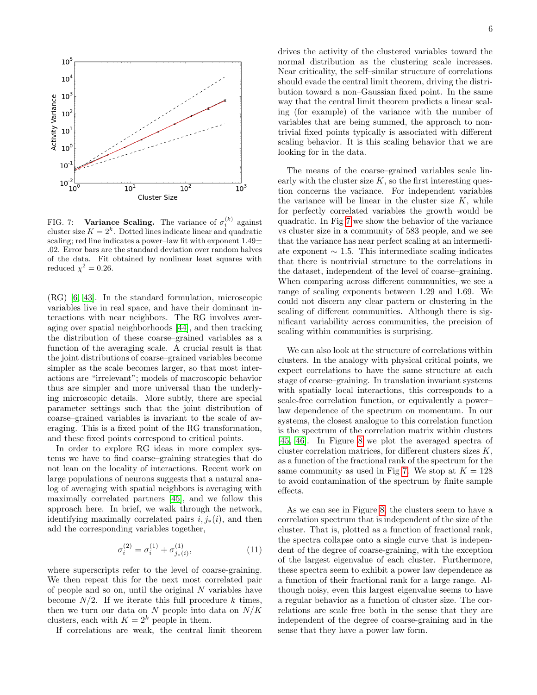

<span id="page-5-0"></span>FIG. 7: Variance Scaling. The variance of  $\sigma_i^{(k)}$  against cluster size  $K = 2<sup>k</sup>$ . Dotted lines indicate linear and quadratic scaling; red line indicates a power–law fit with exponent  $1.49\pm$ .02. Error bars are the standard deviation over random halves of the data. Fit obtained by nonlinear least squares with reduced  $\chi^2 = 0.26$ .

(RG) [\[6,](#page-11-5) [43\]](#page-11-37). In the standard formulation, microscopic variables live in real space, and have their dominant interactions with near neighbors. The RG involves averaging over spatial neighborhoods [\[44\]](#page-11-38), and then tracking the distribution of these coarse–grained variables as a function of the averaging scale. A crucial result is that the joint distributions of coarse–grained variables become simpler as the scale becomes larger, so that most interactions are "irrelevant"; models of macroscopic behavior thus are simpler and more universal than the underlying microscopic details. More subtly, there are special parameter settings such that the joint distribution of coarse–grained variables is invariant to the scale of averaging. This is a fixed point of the RG transformation, and these fixed points correspond to critical points.

In order to explore RG ideas in more complex systems we have to find coarse–graining strategies that do not lean on the locality of interactions. Recent work on large populations of neurons suggests that a natural analog of averaging with spatial neighbors is averaging with maximally correlated partners [\[45\]](#page-11-39), and we follow this approach here. In brief, we walk through the network, identifying maximally correlated pairs  $i, j_*(i)$ , and then add the corresponding variables together,

$$
\sigma_i^{(2)} = \sigma_i^{(1)} + \sigma_{j_*(i)}^{(1)},\tag{11}
$$

where superscripts refer to the level of coarse-graining. We then repeat this for the next most correlated pair of people and so on, until the original  $N$  variables have become  $N/2$ . If we iterate this full procedure k times, then we turn our data on  $N$  people into data on  $N/K$ clusters, each with  $K = 2^k$  people in them.

If correlations are weak, the central limit theorem

drives the activity of the clustered variables toward the normal distribution as the clustering scale increases. Near criticality, the self–similar structure of correlations should evade the central limit theorem, driving the distribution toward a non–Gaussian fixed point. In the same way that the central limit theorem predicts a linear scaling (for example) of the variance with the number of variables that are being summed, the approach to nontrivial fixed points typically is associated with different scaling behavior. It is this scaling behavior that we are looking for in the data.

The means of the coarse–grained variables scale linearly with the cluster size  $K$ , so the first interesting question concerns the variance. For independent variables the variance will be linear in the cluster size  $K$ , while for perfectly correlated variables the growth would be quadratic. In Fig [7](#page-5-0) we show the behavior of the variance vs cluster size in a community of 583 people, and we see that the variance has near perfect scaling at an intermediate exponent  $\sim$  1.5. This intermediate scaling indicates that there is nontrivial structure to the correlations in the dataset, independent of the level of coarse–graining. When comparing across different communities, we see a range of scaling exponents between 1.29 and 1.69. We could not discern any clear pattern or clustering in the scaling of different communities. Although there is significant variability across communities, the precision of scaling within communities is surprising.

We can also look at the structure of correlations within clusters. In the analogy with physical critical points, we expect correlations to have the same structure at each stage of coarse–graining. In translation invariant systems with spatially local interactions, this corresponds to a scale-free correlation function, or equivalently a power– law dependence of the spectrum on momentum. In our systems, the closest analogue to this correlation function is the spectrum of the correlation matrix within clusters [\[45,](#page-11-39) [46\]](#page-11-40). In Figure [8](#page-6-0) we plot the averaged spectra of cluster correlation matrices, for different clusters sizes K, as a function of the fractional rank of the spectrum for the same community as used in Fig [7.](#page-5-0) We stop at  $K = 128$ to avoid contamination of the spectrum by finite sample effects.

As we can see in Figure [8,](#page-6-0) the clusters seem to have a correlation spectrum that is independent of the size of the cluster. That is, plotted as a function of fractional rank, the spectra collapse onto a single curve that is independent of the degree of coarse-graining, with the exception of the largest eigenvalue of each cluster. Furthermore, these spectra seem to exhibit a power law dependence as a function of their fractional rank for a large range. Although noisy, even this largest eigenvalue seems to have a regular behavior as a function of cluster size. The correlations are scale free both in the sense that they are independent of the degree of coarse-graining and in the sense that they have a power law form.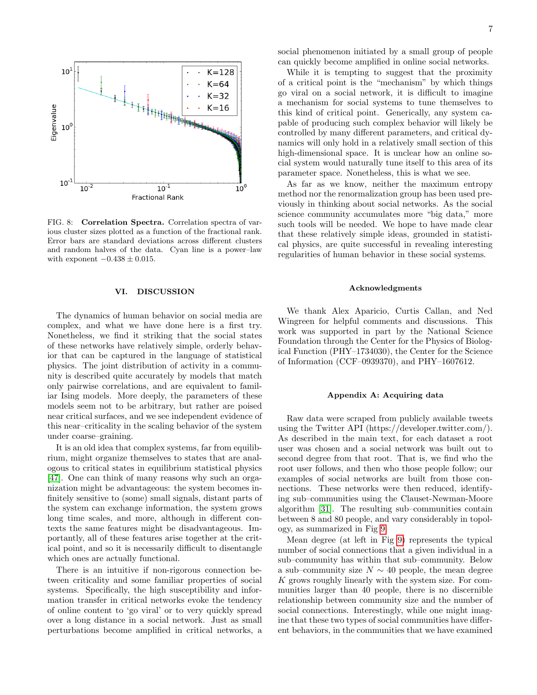

<span id="page-6-0"></span>FIG. 8: Correlation Spectra. Correlation spectra of various cluster sizes plotted as a function of the fractional rank. Error bars are standard deviations across different clusters and random halves of the data. Cyan line is a power–law with exponent  $-0.438 \pm 0.015$ .

#### VI. DISCUSSION

The dynamics of human behavior on social media are complex, and what we have done here is a first try. Nonetheless, we find it striking that the social states of these networks have relatively simple, orderly behavior that can be captured in the language of statistical physics. The joint distribution of activity in a community is described quite accurately by models that match only pairwise correlations, and are equivalent to familiar Ising models. More deeply, the parameters of these models seem not to be arbitrary, but rather are poised near critical surfaces, and we see independent evidence of this near–criticality in the scaling behavior of the system under coarse–graining.

It is an old idea that complex systems, far from equilibrium, might organize themselves to states that are analogous to critical states in equilibrium statistical physics [\[47\]](#page-11-41). One can think of many reasons why such an organization might be advantageous: the system becomes infinitely sensitive to (some) small signals, distant parts of the system can exchange information, the system grows long time scales, and more, although in different contexts the same features might be disadvantageous. Importantly, all of these features arise together at the critical point, and so it is necessarily difficult to disentangle which ones are actually functional.

There is an intuitive if non-rigorous connection between criticality and some familiar properties of social systems. Specifically, the high susceptibility and information transfer in critical networks evoke the tendency of online content to 'go viral' or to very quickly spread over a long distance in a social network. Just as small perturbations become amplified in critical networks, a social phenomenon initiated by a small group of people can quickly become amplified in online social networks.

While it is tempting to suggest that the proximity of a critical point is the "mechanism" by which things go viral on a social network, it is difficult to imagine a mechanism for social systems to tune themselves to this kind of critical point. Generically, any system capable of producing such complex behavior will likely be controlled by many different parameters, and critical dynamics will only hold in a relatively small section of this high-dimensional space. It is unclear how an online social system would naturally tune itself to this area of its parameter space. Nonetheless, this is what we see.

As far as we know, neither the maximum entropy method nor the renormalization group has been used previously in thinking about social networks. As the social science community accumulates more "big data," more such tools will be needed. We hope to have made clear that these relatively simple ideas, grounded in statistical physics, are quite successful in revealing interesting regularities of human behavior in these social systems.

### Acknowledgments

We thank Alex Aparicio, Curtis Callan, and Ned Wingreen for helpful comments and discussions. This work was supported in part by the National Science Foundation through the Center for the Physics of Biological Function (PHY–1734030), the Center for the Science of Information (CCF–0939370), and PHY–1607612.

#### Appendix A: Acquiring data

Raw data were scraped from publicly available tweets using the Twitter API (https://developer.twitter.com/). As described in the main text, for each dataset a root user was chosen and a social network was built out to second degree from that root. That is, we find who the root user follows, and then who those people follow; our examples of social networks are built from those connections. These networks were then reduced, identifying sub–communities using the Clauset-Newman-Moore algorithm [\[31\]](#page-11-26). The resulting sub–communities contain between 8 and 80 people, and vary considerably in topology, as summarized in Fig [9.](#page-7-0)

Mean degree (at left in Fig [9\)](#page-7-0) represents the typical number of social connections that a given individual in a sub–community has within that sub–community. Below a sub–community size  $N \sim 40$  people, the mean degree K grows roughly linearly with the system size. For communities larger than 40 people, there is no discernible relationship between community size and the number of social connections. Interestingly, while one might imagine that these two types of social communities have different behaviors, in the communities that we have examined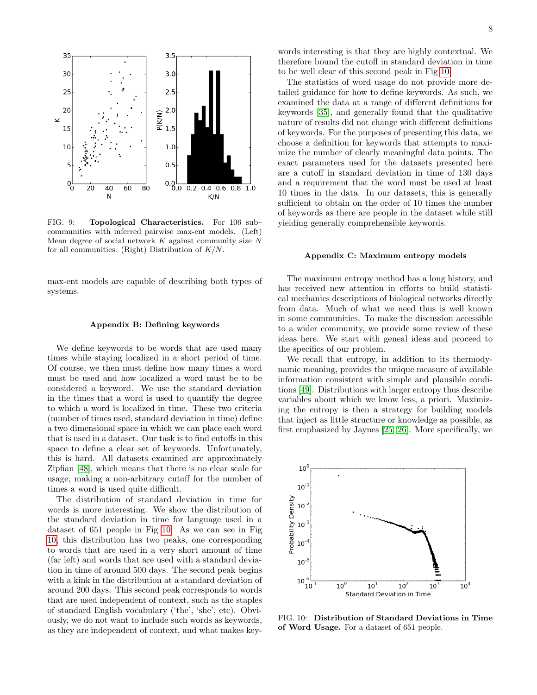

<span id="page-7-0"></span>FIG. 9: Topological Characteristics. For 106 sub– communities with inferred pairwise max-ent models. (Left) Mean degree of social network  $K$  against community size  $N$ for all communities. (Right) Distribution of  $K/N$ .

max-ent models are capable of describing both types of systems.

#### Appendix B: Defining keywords

We define keywords to be words that are used many times while staying localized in a short period of time. Of course, we then must define how many times a word must be used and how localized a word must be to be considered a keyword. We use the standard deviation in the times that a word is used to quantify the degree to which a word is localized in time. These two criteria (number of times used, standard deviation in time) define a two dimensional space in which we can place each word that is used in a dataset. Our task is to find cutoffs in this space to define a clear set of keywords. Unfortunately, this is hard. All datasets examined are approximately Zipfian [\[48\]](#page-11-42), which means that there is no clear scale for usage, making a non-arbitrary cutoff for the number of times a word is used quite difficult.

The distribution of standard deviation in time for words is more interesting. We show the distribution of the standard deviation in time for language used in a dataset of 651 people in Fig [10.](#page-7-1) As we can see in Fig [10,](#page-7-1) this distribution has two peaks, one corresponding to words that are used in a very short amount of time (far left) and words that are used with a standard deviation in time of around 500 days. The second peak begins with a kink in the distribution at a standard deviation of around 200 days. This second peak corresponds to words that are used independent of context, such as the staples of standard English vocabulary ('the', 'she', etc). Obviously, we do not want to include such words as keywords, as they are independent of context, and what makes keywords interesting is that they are highly contextual. We therefore bound the cutoff in standard deviation in time to be well clear of this second peak in Fig [10.](#page-7-1)

The statistics of word usage do not provide more detailed guidance for how to define keywords. As such, we examined the data at a range of different definitions for keywords [\[35\]](#page-11-30), and generally found that the qualitative nature of results did not change with different definitions of keywords. For the purposes of presenting this data, we choose a definition for keywords that attempts to maximize the number of clearly meaningful data points. The exact parameters used for the datasets presented here are a cutoff in standard deviation in time of 130 days and a requirement that the word must be used at least 10 times in the data. In our datasets, this is generally sufficient to obtain on the order of 10 times the number of keywords as there are people in the dataset while still yielding generally comprehensible keywords.

### Appendix C: Maximum entropy models

The maximum entropy method has a long history, and has received new attention in efforts to build statistical mechanics descriptions of biological networks directly from data. Much of what we need thus is well known in some communities. To make the discussion accessible to a wider community, we provide some review of these ideas here. We start with geneal ideas and proceed to the specifics of our problem.

We recall that entropy, in addition to its thermodynamic meaning, provides the unique measure of available information consistent with simple and plausible conditions [\[49\]](#page-11-43). Distributions with larger entropy thus describe variables about which we know less, a priori. Maximizing the entropy is then a strategy for building models that inject as little structure or knowledge as possible, as first emphasized by Jaynes [\[25,](#page-11-20) [26\]](#page-11-21). More specifically, we



<span id="page-7-1"></span>FIG. 10: Distribution of Standard Deviations in Time of Word Usage. For a dataset of 651 people.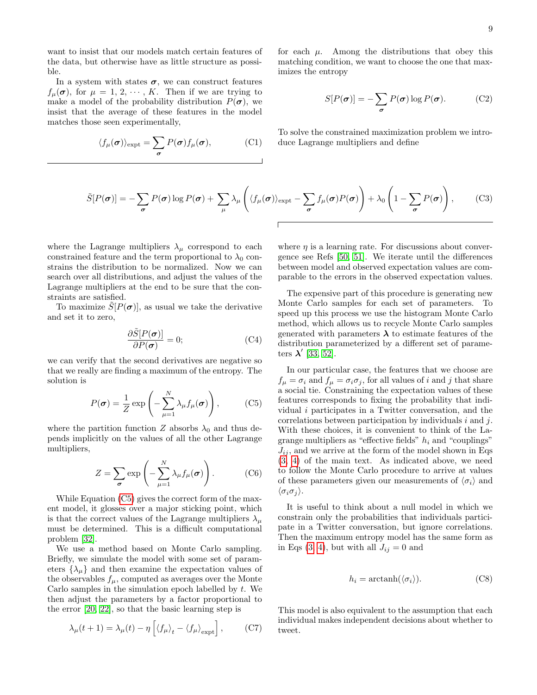want to insist that our models match certain features of the data, but otherwise have as little structure as possible.

In a system with states  $\sigma$ , we can construct features  $f_{\mu}(\boldsymbol{\sigma})$ , for  $\mu = 1, 2, \cdots, K$ . Then if we are trying to make a model of the probability distribution  $P(\sigma)$ , we insist that the average of these features in the model matches those seen experimentally,

$$
\langle f_{\mu}(\boldsymbol{\sigma}) \rangle_{\text{expt}} = \sum_{\boldsymbol{\sigma}} P(\boldsymbol{\sigma}) f_{\mu}(\boldsymbol{\sigma}), \qquad (C1)
$$

for each  $\mu$ . Among the distributions that obey this matching condition, we want to choose the one that maximizes the entropy

$$
S[P(\boldsymbol{\sigma})] = -\sum_{\boldsymbol{\sigma}} P(\boldsymbol{\sigma}) \log P(\boldsymbol{\sigma}). \tag{C2}
$$

To solve the constrained maximization problem we introduce Lagrange multipliers and define

$$
\tilde{S}[P(\boldsymbol{\sigma})] = -\sum_{\boldsymbol{\sigma}} P(\boldsymbol{\sigma}) \log P(\boldsymbol{\sigma}) + \sum_{\mu} \lambda_{\mu} \left( \langle f_{\mu}(\boldsymbol{\sigma}) \rangle_{\text{expt}} - \sum_{\boldsymbol{\sigma}} f_{\mu}(\boldsymbol{\sigma}) P(\boldsymbol{\sigma}) \right) + \lambda_{0} \left( 1 - \sum_{\boldsymbol{\sigma}} P(\boldsymbol{\sigma}) \right), \tag{C3}
$$

where the Lagrange multipliers  $\lambda_{\mu}$  correspond to each constrained feature and the term proportional to  $\lambda_0$  constrains the distribution to be normalized. Now we can search over all distributions, and adjust the values of the Lagrange multipliers at the end to be sure that the constraints are satisfied.

To maximize  $S[P(\sigma)]$ , as usual we take the derivative and set it to zero,

$$
\frac{\partial \tilde{S}[P(\boldsymbol{\sigma})]}{\partial P(\boldsymbol{\sigma})} = 0; \tag{C4}
$$

we can verify that the second derivatives are negative so that we really are finding a maximum of the entropy. The solution is

<span id="page-8-0"></span>
$$
P(\boldsymbol{\sigma}) = \frac{1}{Z} \exp\left(-\sum_{\mu=1}^{N} \lambda_{\mu} f_{\mu}(\boldsymbol{\sigma})\right), \qquad (C5)
$$

where the partition function Z absorbs  $\lambda_0$  and thus depends implicitly on the values of all the other Lagrange multipliers,

$$
Z = \sum_{\sigma} \exp\left(-\sum_{\mu=1}^{N} \lambda_{\mu} f_{\mu}(\sigma)\right).
$$
 (C6)

While Equation [\(C5\)](#page-8-0) gives the correct form of the maxent model, it glosses over a major sticking point, which is that the correct values of the Lagrange multipliers  $\lambda_{\mu}$ must be determined. This is a difficult computational problem [\[32\]](#page-11-27).

We use a method based on Monte Carlo sampling. Briefly, we simulate the model with some set of parameters  $\{\lambda_{\mu}\}\$ and then examine the expectation values of the observables  $f_{\mu}$ , computed as averages over the Monte Carlo samples in the simulation epoch labelled by  $t$ . We then adjust the parameters by a factor proportional to the error [\[20,](#page-11-44) [22\]](#page-11-17), so that the basic learning step is

$$
\lambda_{\mu}(t+1) = \lambda_{\mu}(t) - \eta \left[ \langle f_{\mu} \rangle_{t} - \langle f_{\mu} \rangle_{\text{expt}} \right],\tag{C7}
$$

where  $\eta$  is a learning rate. For discussions about convergence see Refs [\[50,](#page-11-45) [51\]](#page-11-46). We iterate until the differences between model and observed expectation values are comparable to the errors in the observed expectation values.

The expensive part of this procedure is generating new Monte Carlo samples for each set of parameters. To speed up this process we use the histogram Monte Carlo method, which allows us to recycle Monte Carlo samples generated with parameters  $\lambda$  to estimate features of the distribution parameterized by a different set of parameters  $\lambda'$  [\[33,](#page-11-28) [52\]](#page-11-47).

In our particular case, the features that we choose are  $f_{\mu} = \sigma_i$  and  $f_{\mu} = \sigma_i \sigma_j$ , for all values of i and j that share a social tie. Constraining the expectation values of these features corresponds to fixing the probability that individual i participates in a Twitter conversation, and the correlations between participation by individuals  $i$  and  $j$ . With these choices, it is convenient to think of the Lagrange multipliers as "effective fields"  $h_i$  and "couplings"  $J_{ij}$ , and we arrive at the form of the model shown in Eqs. [\(3,](#page-2-4) [4\)](#page-2-1) of the main text. As indicated above, we need to follow the Monte Carlo procedure to arrive at values of these parameters given our measurements of  $\langle \sigma_i \rangle$  and  $\langle \sigma_i \sigma_j \rangle$ .

It is useful to think about a null model in which we constrain only the probabilities that individuals participate in a Twitter conversation, but ignore correlations. Then the maximum entropy model has the same form as in Eqs  $(3, 4)$  $(3, 4)$ , but with all  $J_{ij} = 0$  and

$$
h_i = \operatorname{arctanh}(\langle \sigma_i \rangle). \tag{C8}
$$

This model is also equivalent to the assumption that each individual makes independent decisions about whether to tweet.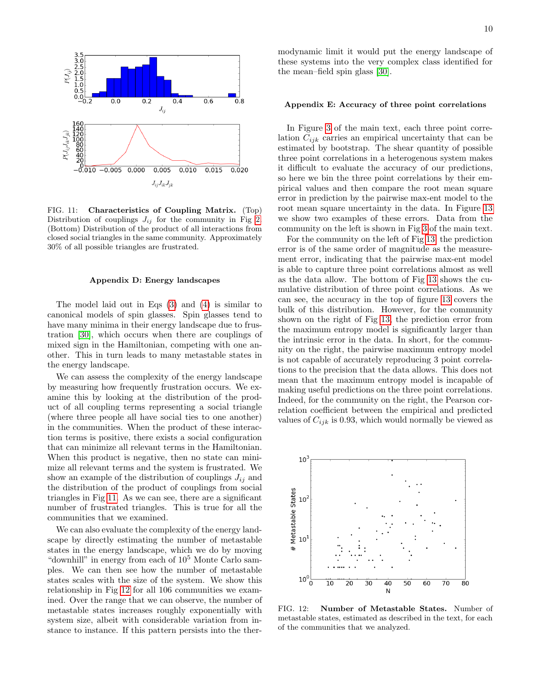

<span id="page-9-0"></span>FIG. 11: Characteristics of Coupling Matrix. (Top) Distribution of couplings  $J_{ij}$  for the community in Fig [2.](#page-2-3) (Bottom) Distribution of the product of all interactions from closed social triangles in the same community. Approximately 30% of all possible triangles are frustrated.

#### Appendix D: Energy landscapes

The model laid out in Eqs [\(3\)](#page-2-4) and [\(4\)](#page-2-1) is similar to canonical models of spin glasses. Spin glasses tend to have many minima in their energy landscape due to frustration [\[30\]](#page-11-25), which occurs when there are couplings of mixed sign in the Hamiltonian, competing with one another. This in turn leads to many metastable states in the energy landscape.

We can assess the complexity of the energy landscape by measuring how frequently frustration occurs. We examine this by looking at the distribution of the product of all coupling terms representing a social triangle (where three people all have social ties to one another) in the communities. When the product of these interaction terms is positive, there exists a social configuration that can minimize all relevant terms in the Hamiltonian. When this product is negative, then no state can minimize all relevant terms and the system is frustrated. We show an example of the distribution of couplings  $J_{ij}$  and the distribution of the product of couplings from social triangles in Fig [11.](#page-9-0) As we can see, there are a significant number of frustrated triangles. This is true for all the communities that we examined.

We can also evaluate the complexity of the energy landscape by directly estimating the number of metastable states in the energy landscape, which we do by moving "downhill" in energy from each of  $10^5$  Monte Carlo samples. We can then see how the number of metastable states scales with the size of the system. We show this relationship in Fig [12](#page-9-1) for all 106 communities we examined. Over the range that we can observe, the number of metastable states increases roughly exponentially with system size, albeit with considerable variation from instance to instance. If this pattern persists into the thermodynamic limit it would put the energy landscape of these systems into the very complex class identified for the mean–field spin glass [\[30\]](#page-11-25).

## Appendix E: Accuracy of three point correlations

In Figure [3](#page-2-2) of the main text, each three point correlation  $C_{ijk}$  carries an empirical uncertainty that can be estimated by bootstrap. The shear quantity of possible three point correlations in a heterogenous system makes it difficult to evaluate the accuracy of our predictions, so here we bin the three point correlations by their empirical values and then compare the root mean square error in prediction by the pairwise max-ent model to the root mean square uncertainty in the data. In Figure [13](#page-10-0) we show two examples of these errors. Data from the community on the left is shown in Fig [3](#page-2-2) of the main text.

For the community on the left of Fig [13,](#page-10-0) the prediction error is of the same order of magnitude as the measurement error, indicating that the pairwise max-ent model is able to capture three point correlations almost as well as the data allow. The bottom of Fig [13](#page-10-0) shows the cumulative distribution of three point correlations. As we can see, the accuracy in the top of figure [13](#page-10-0) covers the bulk of this distribution. However, for the community shown on the right of Fig [13,](#page-10-0) the prediction error from the maximum entropy model is significantly larger than the intrinsic error in the data. In short, for the community on the right, the pairwise maximum entropy model is not capable of accurately reproducing 3 point correlations to the precision that the data allows. This does not mean that the maximum entropy model is incapable of making useful predictions on the three point correlations. Indeed, for the community on the right, the Pearson correlation coefficient between the empirical and predicted values of  $C_{ijk}$  is 0.93, which would normally be viewed as



<span id="page-9-1"></span>FIG. 12: Number of Metastable States. Number of metastable states, estimated as described in the text, for each of the communities that we analyzed.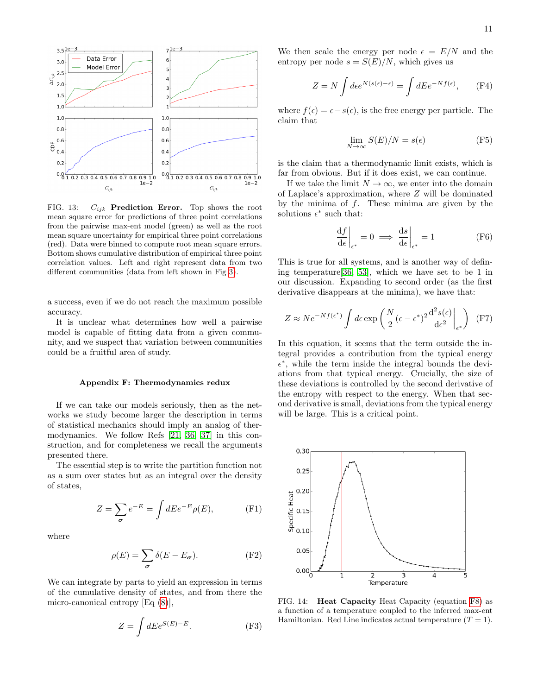

<span id="page-10-0"></span>FIG. 13:  $C_{ijk}$  **Prediction Error.** Top shows the root mean square error for predictions of three point correlations from the pairwise max-ent model (green) as well as the root mean square uncertainty for empirical three point correlations (red). Data were binned to compute root mean square errors. Bottom shows cumulative distribution of empirical three point correlation values. Left and right represent data from two different communities (data from left shown in Fig [3\)](#page-2-2).

a success, even if we do not reach the maximum possible accuracy.

It is unclear what determines how well a pairwise model is capable of fitting data from a given community, and we suspect that variation between communities could be a fruitful area of study.

#### Appendix F: Thermodynamics redux

If we can take our models seriously, then as the networks we study become larger the description in terms of statistical mechanics should imply an analog of thermodynamics. We follow Refs [\[21,](#page-11-31) [36,](#page-11-32) [37\]](#page-11-33) in this construction, and for completeness we recall the arguments presented there.

The essential step is to write the partition function not as a sum over states but as an integral over the density of states,

$$
Z = \sum_{\sigma} e^{-E} = \int dE e^{-E} \rho(E), \tag{F1}
$$

where

$$
\rho(E) = \sum_{\sigma} \delta(E - E_{\sigma}).
$$
 (F2)

We can integrate by parts to yield an expression in terms of the cumulative density of states, and from there the micro-canonical entropy [Eq [\(8\)](#page-4-0)],

$$
Z = \int dE e^{S(E) - E}.
$$
 (F3)

We then scale the energy per node  $\epsilon = E/N$  and the entropy per node  $s = S(E)/N$ , which gives us

$$
Z = N \int d\epsilon e^{N(s(\epsilon) - \epsilon)} = \int dE e^{-Nf(\epsilon)}, \quad (F4)
$$

where  $f(\epsilon) = \epsilon - s(\epsilon)$ , is the free energy per particle. The claim that

$$
\lim_{N \to \infty} S(E)/N = s(\epsilon) \tag{F5}
$$

is the claim that a thermodynamic limit exists, which is far from obvious. But if it does exist, we can continue.

If we take the limit  $N \to \infty$ , we enter into the domain of Laplace's approximation, where Z will be dominated by the minima of  $f$ . These minima are given by the solutions  $\epsilon^*$  such that:

$$
\left. \frac{\mathrm{d}f}{\mathrm{d}\epsilon} \right|_{\epsilon^*} = 0 \implies \left. \frac{\mathrm{d}s}{\mathrm{d}\epsilon} \right|_{\epsilon^*} = 1 \tag{F6}
$$

This is true for all systems, and is another way of defining temperature[\[36,](#page-11-32) [53\]](#page-11-48), which we have set to be 1 in our discussion. Expanding to second order (as the first derivative disappears at the minima), we have that:

$$
Z \approx Ne^{-Nf(\epsilon^*)} \int d\epsilon \exp\left(\frac{N}{2}(\epsilon - \epsilon^*)^2 \frac{d^2 s(\epsilon)}{d\epsilon^2}\bigg|_{\epsilon^*}\right) (F7)
$$

In this equation, it seems that the term outside the integral provides a contribution from the typical energy  $\epsilon^*$ , while the term inside the integral bounds the deviations from that typical energy. Crucially, the size of these deviations is controlled by the second derivative of the entropy with respect to the energy. When that second derivative is small, deviations from the typical energy will be large. This is a critical point.



<span id="page-10-1"></span>FIG. 14: Heat Capacity Heat Capacity (equation [F8\)](#page-11-49) as a function of a temperature coupled to the inferred max-ent Hamiltonian. Red Line indicates actual temperature  $(T = 1)$ .